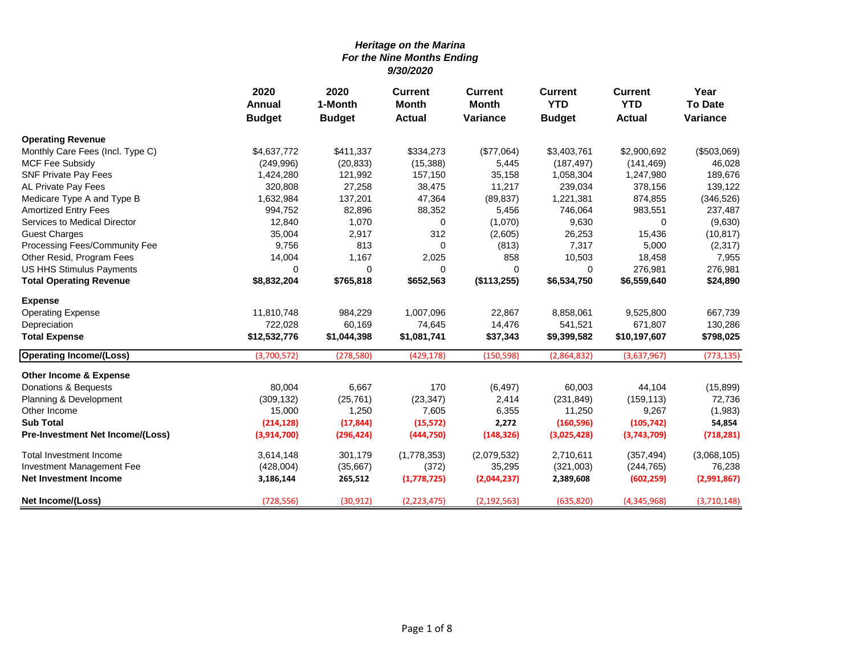|                                   | 2020          | 2020<br><b>Current</b><br><b>Current</b><br>1-Month<br><b>Month</b><br><b>Month</b><br><b>Annual</b> | <b>Current</b><br><b>YTD</b> | <b>Current</b><br><b>YTD</b> | Year<br><b>To Date</b> |               |             |
|-----------------------------------|---------------|------------------------------------------------------------------------------------------------------|------------------------------|------------------------------|------------------------|---------------|-------------|
|                                   | <b>Budget</b> | <b>Budget</b>                                                                                        | <b>Actual</b>                | <b>Variance</b>              | <b>Budget</b>          | <b>Actual</b> | Variance    |
| <b>Operating Revenue</b>          |               |                                                                                                      |                              |                              |                        |               |             |
| Monthly Care Fees (Incl. Type C)  | \$4,637,772   | \$411,337                                                                                            | \$334,273                    | (\$77,064)                   | \$3,403,761            | \$2,900,692   | (\$503,069) |
| <b>MCF Fee Subsidy</b>            | (249,996)     | (20, 833)                                                                                            | (15, 388)                    | 5,445                        | (187, 497)             | (141, 469)    | 46,028      |
| <b>SNF Private Pay Fees</b>       | 1,424,280     | 121,992                                                                                              | 157,150                      | 35,158                       | 1,058,304              | 1,247,980     | 189,676     |
| AL Private Pay Fees               | 320,808       | 27,258                                                                                               | 38,475                       | 11,217                       | 239,034                | 378,156       | 139,122     |
| Medicare Type A and Type B        | 1,632,984     | 137,201                                                                                              | 47,364                       | (89, 837)                    | 1,221,381              | 874,855       | (346, 526)  |
| <b>Amortized Entry Fees</b>       | 994,752       | 82,896                                                                                               | 88,352                       | 5,456                        | 746,064                | 983,551       | 237,487     |
| Services to Medical Director      | 12,840        | 1,070                                                                                                | 0                            | (1,070)                      | 9,630                  | 0             | (9,630)     |
| <b>Guest Charges</b>              | 35,004        | 2,917                                                                                                | 312                          | (2,605)                      | 26,253                 | 15,436        | (10, 817)   |
| Processing Fees/Community Fee     | 9,756         | 813                                                                                                  | 0                            | (813)                        | 7,317                  | 5,000         | (2,317)     |
| Other Resid, Program Fees         | 14,004        | 1,167                                                                                                | 2,025                        | 858                          | 10,503                 | 18,458        | 7,955       |
| US HHS Stimulus Payments          | $\Omega$      | $\mathbf 0$                                                                                          | 0                            | 0                            | 0                      | 276,981       | 276,981     |
| <b>Total Operating Revenue</b>    | \$8,832,204   | \$765,818                                                                                            | \$652,563                    | (\$113,255)                  | \$6,534,750            | \$6,559,640   | \$24,890    |
| <b>Expense</b>                    |               |                                                                                                      |                              |                              |                        |               |             |
| <b>Operating Expense</b>          | 11,810,748    | 984,229                                                                                              | 1,007,096                    | 22,867                       | 8,858,061              | 9,525,800     | 667,739     |
| Depreciation                      | 722,028       | 60,169                                                                                               | 74,645                       | 14,476                       | 541,521                | 671,807       | 130,286     |
| <b>Total Expense</b>              | \$12,532,776  | \$1,044,398                                                                                          | \$1,081,741                  | \$37,343                     | \$9,399,582            | \$10,197,607  | \$798,025   |
| <b>Operating Income/(Loss)</b>    | (3,700,572)   | (278, 580)                                                                                           | (429, 178)                   | (150, 598)                   | (2,864,832)            | (3,637,967)   | (773, 135)  |
| <b>Other Income &amp; Expense</b> |               |                                                                                                      |                              |                              |                        |               |             |
| Donations & Bequests              | 80,004        | 6,667                                                                                                | 170                          | (6, 497)                     | 60,003                 | 44,104        | (15, 899)   |
| Planning & Development            | (309, 132)    | (25, 761)                                                                                            | (23, 347)                    | 2,414                        | (231, 849)             | (159, 113)    | 72,736      |
| Other Income                      | 15,000        | 1,250                                                                                                | 7,605                        | 6,355                        | 11,250                 | 9,267         | (1,983)     |
| <b>Sub Total</b>                  | (214, 128)    | (17, 844)                                                                                            | (15, 572)                    | 2,272                        | (160, 596)             | (105, 742)    | 54,854      |
| Pre-Investment Net Income/(Loss)  | (3,914,700)   | (296, 424)                                                                                           | (444,750)                    | (148, 326)                   | (3,025,428)            | (3,743,709)   | (718, 281)  |
| Total Investment Income           | 3,614,148     | 301,179                                                                                              | (1,778,353)                  | (2,079,532)                  | 2,710,611              | (357, 494)    | (3,068,105) |
| Investment Management Fee         | (428,004)     | (35, 667)                                                                                            | (372)                        | 35,295                       | (321,003)              | (244, 765)    | 76,238      |
| <b>Net Investment Income</b>      | 3,186,144     | 265,512                                                                                              | (1,778,725)                  | (2,044,237)                  | 2,389,608              | (602, 259)    | (2,991,867) |
| Net Income/(Loss)                 | (728, 556)    | (30, 912)                                                                                            | (2, 223, 475)                | (2, 192, 563)                | (635, 820)             | (4,345,968)   | (3,710,148) |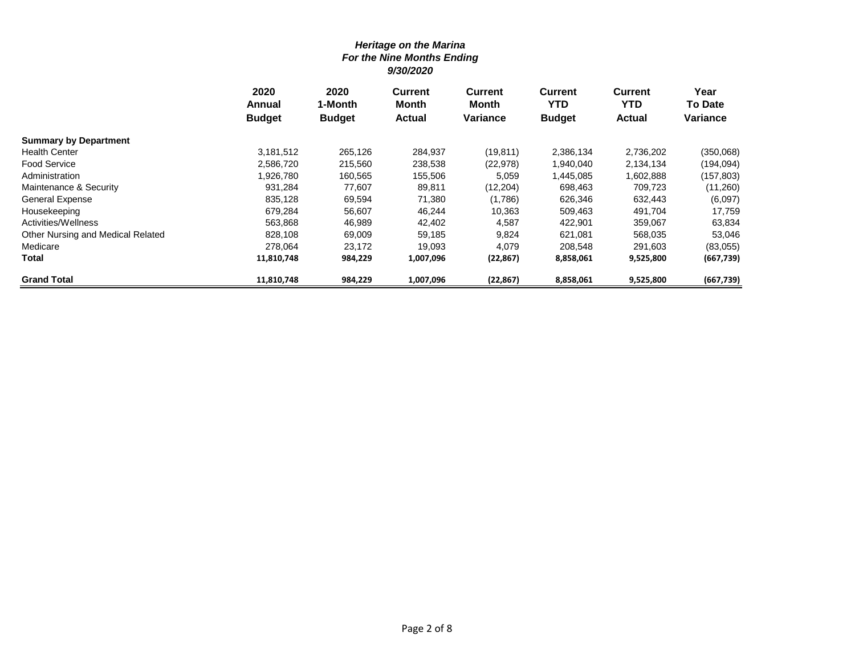|                                   | 2020<br>Annual | 2020<br>1-Month | <b>Current</b><br>Month | Current<br>Month | <b>Current</b><br><b>YTD</b> | <b>Current</b><br>YTD. | Year<br><b>To Date</b> |
|-----------------------------------|----------------|-----------------|-------------------------|------------------|------------------------------|------------------------|------------------------|
|                                   |                |                 |                         | <b>Variance</b>  |                              |                        | Variance               |
|                                   | <b>Budget</b>  | <b>Budget</b>   | <b>Actual</b>           |                  | <b>Budget</b>                | <b>Actual</b>          |                        |
| <b>Summary by Department</b>      |                |                 |                         |                  |                              |                        |                        |
| <b>Health Center</b>              | 3,181,512      | 265,126         | 284,937                 | (19,811)         | 2,386,134                    | 2,736,202              | (350,068)              |
| <b>Food Service</b>               | 2,586,720      | 215,560         | 238,538                 | (22, 978)        | 1,940,040                    | 2,134,134              | (194,094)              |
| Administration                    | 926,780.       | 160,565         | 155,506                 | 5,059            | 1,445,085                    | 1,602,888              | (157,803)              |
| Maintenance & Security            | 931,284        | 77,607          | 89,811                  | (12,204)         | 698,463                      | 709,723                | (11,260)               |
| <b>General Expense</b>            | 835,128        | 69,594          | 71,380                  | (1,786)          | 626,346                      | 632,443                | (6,097)                |
| Housekeeping                      | 679,284        | 56,607          | 46,244                  | 10,363           | 509,463                      | 491,704                | 17,759                 |
| Activities/Wellness               | 563.868        | 46,989          | 42,402                  | 4,587            | 422,901                      | 359,067                | 63,834                 |
| Other Nursing and Medical Related | 828,108        | 69,009          | 59,185                  | 9,824            | 621,081                      | 568,035                | 53,046                 |
| Medicare                          | 278,064        | 23,172          | 19,093                  | 4,079            | 208,548                      | 291,603                | (83,055)               |
| Total                             | 11,810,748     | 984,229         | 1,007,096               | (22, 867)        | 8,858,061                    | 9,525,800              | (667, 739)             |
| <b>Grand Total</b>                | 11,810,748     | 984,229         | 1,007,096               | (22, 867)        | 8,858,061                    | 9,525,800              | (667, 739)             |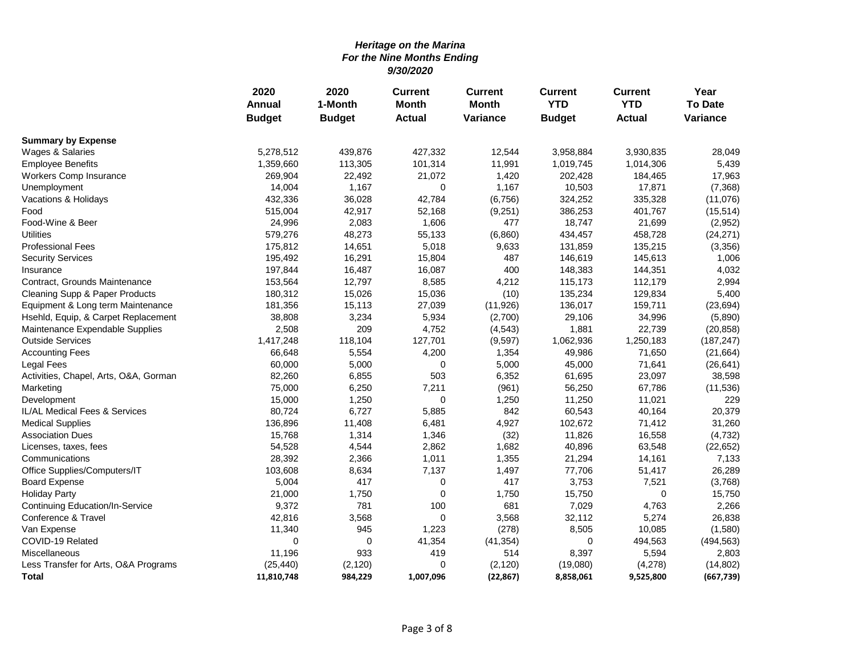|                                       | 2020          | 2020          | <b>Current</b> | <b>Current</b> | <b>Current</b> | <b>Current</b><br><b>YTD</b><br><b>Actual</b><br>3,930,835<br>1,014,306<br>184,465<br>17,871<br>335,328<br>401,767<br>21,699<br>458,728<br>135,215<br>145,613<br>144,351<br>112,179<br>129,834<br>159,711<br>34,996<br>22,739<br>1,250,183<br>71,650<br>71,641<br>23,097<br>67,786<br>11,021<br>40,164<br>71,412<br>16,558<br>63,548<br>14,161<br>51,417<br>7,521<br>0<br>4,763<br>5,274<br>10,085<br>494,563<br>5,594 | Year           |
|---------------------------------------|---------------|---------------|----------------|----------------|----------------|------------------------------------------------------------------------------------------------------------------------------------------------------------------------------------------------------------------------------------------------------------------------------------------------------------------------------------------------------------------------------------------------------------------------|----------------|
|                                       | Annual        | 1-Month       | <b>Month</b>   | <b>Month</b>   | <b>YTD</b>     |                                                                                                                                                                                                                                                                                                                                                                                                                        | <b>To Date</b> |
|                                       | <b>Budget</b> | <b>Budget</b> | <b>Actual</b>  | Variance       | <b>Budget</b>  |                                                                                                                                                                                                                                                                                                                                                                                                                        | Variance       |
| <b>Summary by Expense</b>             |               |               |                |                |                |                                                                                                                                                                                                                                                                                                                                                                                                                        |                |
| Wages & Salaries                      | 5,278,512     | 439,876       | 427,332        | 12,544         | 3,958,884      |                                                                                                                                                                                                                                                                                                                                                                                                                        | 28,049         |
| <b>Employee Benefits</b>              | 1,359,660     | 113,305       | 101,314        | 11,991         | 1,019,745      |                                                                                                                                                                                                                                                                                                                                                                                                                        | 5,439          |
| Workers Comp Insurance                | 269,904       | 22,492        | 21,072         | 1,420          | 202,428        |                                                                                                                                                                                                                                                                                                                                                                                                                        | 17,963         |
| Unemployment                          | 14,004        | 1,167         | 0              | 1,167          | 10,503         |                                                                                                                                                                                                                                                                                                                                                                                                                        | (7, 368)       |
| Vacations & Holidays                  | 432,336       | 36,028        | 42,784         | (6, 756)       | 324,252        |                                                                                                                                                                                                                                                                                                                                                                                                                        | (11,076)       |
| Food                                  | 515,004       | 42,917        | 52,168         | (9,251)        | 386,253        |                                                                                                                                                                                                                                                                                                                                                                                                                        | (15, 514)      |
| Food-Wine & Beer                      | 24,996        | 2,083         | 1,606          | 477            | 18,747         |                                                                                                                                                                                                                                                                                                                                                                                                                        | (2,952)        |
| <b>Utilities</b>                      | 579,276       | 48,273        | 55,133         | (6,860)        | 434,457        |                                                                                                                                                                                                                                                                                                                                                                                                                        | (24, 271)      |
| <b>Professional Fees</b>              | 175,812       | 14,651        | 5,018          | 9,633          | 131,859        |                                                                                                                                                                                                                                                                                                                                                                                                                        | (3,356)        |
| <b>Security Services</b>              | 195,492       | 16,291        | 15,804         | 487            | 146,619        |                                                                                                                                                                                                                                                                                                                                                                                                                        | 1,006          |
| Insurance                             | 197,844       | 16,487        | 16,087         | 400            | 148,383        |                                                                                                                                                                                                                                                                                                                                                                                                                        | 4,032          |
| Contract, Grounds Maintenance         | 153,564       | 12,797        | 8,585          | 4,212          | 115,173        |                                                                                                                                                                                                                                                                                                                                                                                                                        | 2,994          |
| Cleaning Supp & Paper Products        | 180,312       | 15,026        | 15,036         | (10)           | 135,234        |                                                                                                                                                                                                                                                                                                                                                                                                                        | 5,400          |
| Equipment & Long term Maintenance     | 181,356       | 15,113        | 27,039         | (11, 926)      | 136,017        |                                                                                                                                                                                                                                                                                                                                                                                                                        | (23, 694)      |
| Hsehld, Equip, & Carpet Replacement   | 38,808        | 3,234         | 5,934          | (2,700)        | 29,106         |                                                                                                                                                                                                                                                                                                                                                                                                                        | (5,890)        |
| Maintenance Expendable Supplies       | 2,508         | 209           | 4,752          | (4, 543)       | 1,881          |                                                                                                                                                                                                                                                                                                                                                                                                                        | (20, 858)      |
| <b>Outside Services</b>               | 1,417,248     | 118,104       | 127,701        | (9,597)        | 1,062,936      |                                                                                                                                                                                                                                                                                                                                                                                                                        | (187, 247)     |
| <b>Accounting Fees</b>                | 66,648        | 5,554         | 4,200          | 1,354          | 49,986         |                                                                                                                                                                                                                                                                                                                                                                                                                        | (21, 664)      |
| Legal Fees                            | 60,000        | 5,000         | $\mathbf 0$    | 5,000          | 45,000         |                                                                                                                                                                                                                                                                                                                                                                                                                        | (26, 641)      |
| Activities, Chapel, Arts, O&A, Gorman | 82,260        | 6,855         | 503            | 6,352          | 61,695         |                                                                                                                                                                                                                                                                                                                                                                                                                        | 38,598         |
| Marketing                             | 75,000        | 6,250         | 7,211          | (961)          | 56,250         |                                                                                                                                                                                                                                                                                                                                                                                                                        | (11, 536)      |
| Development                           | 15,000        | 1,250         | 0              | 1,250          | 11,250         |                                                                                                                                                                                                                                                                                                                                                                                                                        | 229            |
| IL/AL Medical Fees & Services         | 80,724        | 6,727         | 5,885          | 842            | 60,543         |                                                                                                                                                                                                                                                                                                                                                                                                                        | 20,379         |
| <b>Medical Supplies</b>               | 136,896       | 11,408        | 6,481          | 4,927          | 102,672        |                                                                                                                                                                                                                                                                                                                                                                                                                        | 31,260         |
| <b>Association Dues</b>               | 15,768        | 1,314         | 1,346          | (32)           | 11,826         |                                                                                                                                                                                                                                                                                                                                                                                                                        | (4, 732)       |
| Licenses, taxes, fees                 | 54,528        | 4,544         | 2,862          | 1,682          | 40,896         |                                                                                                                                                                                                                                                                                                                                                                                                                        | (22, 652)      |
| Communications                        | 28,392        | 2,366         | 1,011          | 1,355          | 21,294         |                                                                                                                                                                                                                                                                                                                                                                                                                        | 7,133          |
| Office Supplies/Computers/IT          | 103,608       | 8,634         | 7,137          | 1,497          | 77,706         |                                                                                                                                                                                                                                                                                                                                                                                                                        | 26,289         |
| <b>Board Expense</b>                  | 5,004         | 417           | 0              | 417            | 3,753          |                                                                                                                                                                                                                                                                                                                                                                                                                        | (3,768)        |
| <b>Holiday Party</b>                  | 21,000        | 1,750         | $\Omega$       | 1,750          | 15,750         |                                                                                                                                                                                                                                                                                                                                                                                                                        | 15,750         |
| Continuing Education/In-Service       | 9,372         | 781           | 100            | 681            | 7,029          |                                                                                                                                                                                                                                                                                                                                                                                                                        | 2,266          |
| Conference & Travel                   | 42,816        | 3,568         | 0              | 3,568          | 32,112         |                                                                                                                                                                                                                                                                                                                                                                                                                        | 26,838         |
| Van Expense                           | 11,340        | 945           | 1,223          | (278)          | 8,505          |                                                                                                                                                                                                                                                                                                                                                                                                                        | (1,580)        |
| COVID-19 Related                      | $\mathbf 0$   | 0             | 41,354         | (41, 354)      | 0              |                                                                                                                                                                                                                                                                                                                                                                                                                        | (494, 563)     |
| Miscellaneous                         | 11,196        | 933           | 419            | 514            | 8,397          |                                                                                                                                                                                                                                                                                                                                                                                                                        | 2,803          |
| Less Transfer for Arts, O&A Programs  | (25, 440)     | (2, 120)      | 0              | (2, 120)       | (19,080)       | (4,278)                                                                                                                                                                                                                                                                                                                                                                                                                | (14, 802)      |
| <b>Total</b>                          | 11,810,748    | 984,229       | 1,007,096      | (22, 867)      | 8,858,061      | 9,525,800                                                                                                                                                                                                                                                                                                                                                                                                              | (667, 739)     |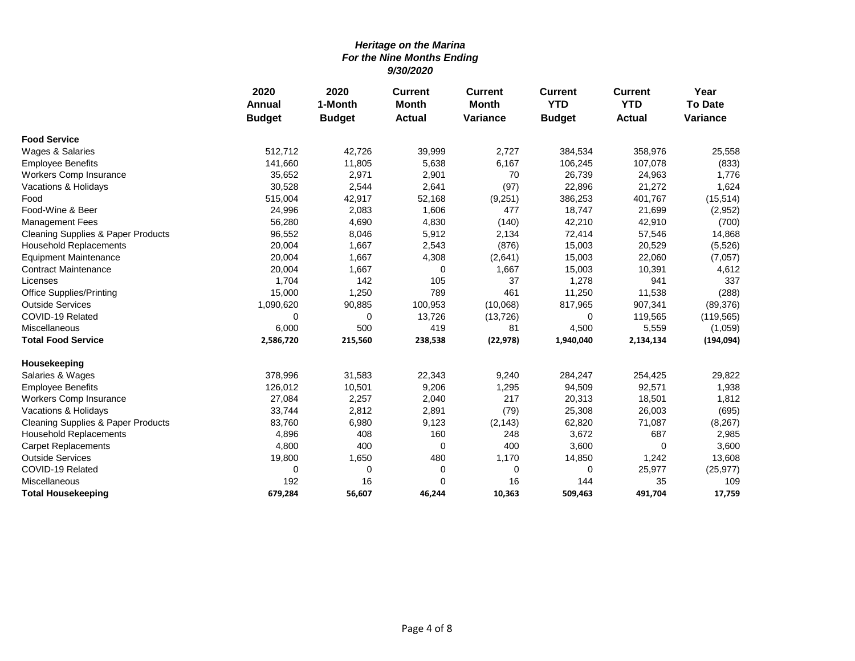|                                               | 2020          | 2020          | <b>Current</b> | <b>Current</b>  | <b>Current</b> | <b>Current</b>                                                                                                                                                                                                                                                                              | Year            |
|-----------------------------------------------|---------------|---------------|----------------|-----------------|----------------|---------------------------------------------------------------------------------------------------------------------------------------------------------------------------------------------------------------------------------------------------------------------------------------------|-----------------|
|                                               | <b>Annual</b> | 1-Month       | <b>Month</b>   | <b>Month</b>    | <b>YTD</b>     |                                                                                                                                                                                                                                                                                             | <b>To Date</b>  |
|                                               | <b>Budget</b> | <b>Budget</b> | <b>Actual</b>  | <b>Variance</b> | <b>Budget</b>  | <b>YTD</b><br><b>Actual</b><br>358,976<br>107,078<br>24,963<br>21,272<br>401,767<br>21,699<br>42,910<br>57,546<br>20,529<br>22,060<br>10,391<br>941<br>11,538<br>907,341<br>119,565<br>5,559<br>2,134,134<br>254,425<br>92,571<br>18,501<br>26,003<br>71,087<br>687<br>0<br>1,242<br>25,977 | <b>Variance</b> |
| <b>Food Service</b>                           |               |               |                |                 |                |                                                                                                                                                                                                                                                                                             |                 |
| Wages & Salaries                              | 512,712       | 42,726        | 39,999         | 2,727           | 384,534        |                                                                                                                                                                                                                                                                                             | 25,558          |
| <b>Employee Benefits</b>                      | 141,660       | 11,805        | 5,638          | 6,167           | 106,245        |                                                                                                                                                                                                                                                                                             | (833)           |
| Workers Comp Insurance                        | 35,652        | 2,971         | 2,901          | 70              | 26,739         |                                                                                                                                                                                                                                                                                             | 1,776           |
| Vacations & Holidays                          | 30,528        | 2,544         | 2,641          | (97)            | 22,896         |                                                                                                                                                                                                                                                                                             | 1,624           |
| Food                                          | 515,004       | 42,917        | 52,168         | (9,251)         | 386,253        |                                                                                                                                                                                                                                                                                             | (15, 514)       |
| Food-Wine & Beer                              | 24,996        | 2,083         | 1,606          | 477             | 18,747         |                                                                                                                                                                                                                                                                                             | (2,952)         |
| <b>Management Fees</b>                        | 56,280        | 4,690         | 4,830          | (140)           | 42,210         |                                                                                                                                                                                                                                                                                             | (700)           |
| <b>Cleaning Supplies &amp; Paper Products</b> | 96,552        | 8,046         | 5,912          | 2,134           | 72,414         |                                                                                                                                                                                                                                                                                             | 14,868          |
| <b>Household Replacements</b>                 | 20,004        | 1,667         | 2,543          | (876)           | 15,003         |                                                                                                                                                                                                                                                                                             | (5,526)         |
| <b>Equipment Maintenance</b>                  | 20,004        | 1,667         | 4,308          | (2,641)         | 15,003         |                                                                                                                                                                                                                                                                                             | (7,057)         |
| <b>Contract Maintenance</b>                   | 20,004        | 1,667         | 0              | 1,667           | 15,003         |                                                                                                                                                                                                                                                                                             | 4,612           |
| Licenses                                      | 1,704         | 142           | 105            | 37              | 1,278          |                                                                                                                                                                                                                                                                                             | 337             |
| <b>Office Supplies/Printing</b>               | 15,000        | 1,250         | 789            | 461             | 11,250         |                                                                                                                                                                                                                                                                                             | (288)           |
| <b>Outside Services</b>                       | 1,090,620     | 90,885        | 100,953        | (10,068)        | 817,965        |                                                                                                                                                                                                                                                                                             | (89, 376)       |
| COVID-19 Related                              | 0             | $\mathbf 0$   | 13,726         | (13, 726)       | 0              |                                                                                                                                                                                                                                                                                             | (119, 565)      |
| Miscellaneous                                 | 6,000         | 500           | 419            | 81              | 4,500          |                                                                                                                                                                                                                                                                                             | (1,059)         |
| <b>Total Food Service</b>                     | 2,586,720     | 215,560       | 238,538        | (22, 978)       | 1,940,040      |                                                                                                                                                                                                                                                                                             | (194, 094)      |
| Housekeeping                                  |               |               |                |                 |                |                                                                                                                                                                                                                                                                                             |                 |
| Salaries & Wages                              | 378,996       | 31,583        | 22,343         | 9,240           | 284,247        |                                                                                                                                                                                                                                                                                             | 29,822          |
| <b>Employee Benefits</b>                      | 126,012       | 10,501        | 9,206          | 1,295           | 94,509         |                                                                                                                                                                                                                                                                                             | 1,938           |
| Workers Comp Insurance                        | 27,084        | 2,257         | 2,040          | 217             | 20,313         |                                                                                                                                                                                                                                                                                             | 1,812           |
| Vacations & Holidays                          | 33,744        | 2,812         | 2,891          | (79)            | 25,308         |                                                                                                                                                                                                                                                                                             | (695)           |
| <b>Cleaning Supplies &amp; Paper Products</b> | 83,760        | 6,980         | 9,123          | (2, 143)        | 62,820         |                                                                                                                                                                                                                                                                                             | (8, 267)        |
| <b>Household Replacements</b>                 | 4,896         | 408           | 160            | 248             | 3,672          |                                                                                                                                                                                                                                                                                             | 2,985           |
| <b>Carpet Replacements</b>                    | 4,800         | 400           | 0              | 400             | 3,600          |                                                                                                                                                                                                                                                                                             | 3,600           |
| <b>Outside Services</b>                       | 19,800        | 1,650         | 480            | 1,170           | 14,850         |                                                                                                                                                                                                                                                                                             | 13,608          |
| COVID-19 Related                              | 0             | 0             | 0              | 0               | 0              |                                                                                                                                                                                                                                                                                             | (25, 977)       |
| Miscellaneous                                 | 192           | 16            | $\Omega$       | 16              | 144            | 35                                                                                                                                                                                                                                                                                          | 109             |
| <b>Total Housekeeping</b>                     | 679,284       | 56,607        | 46,244         | 10,363          | 509,463        | 491,704                                                                                                                                                                                                                                                                                     | 17,759          |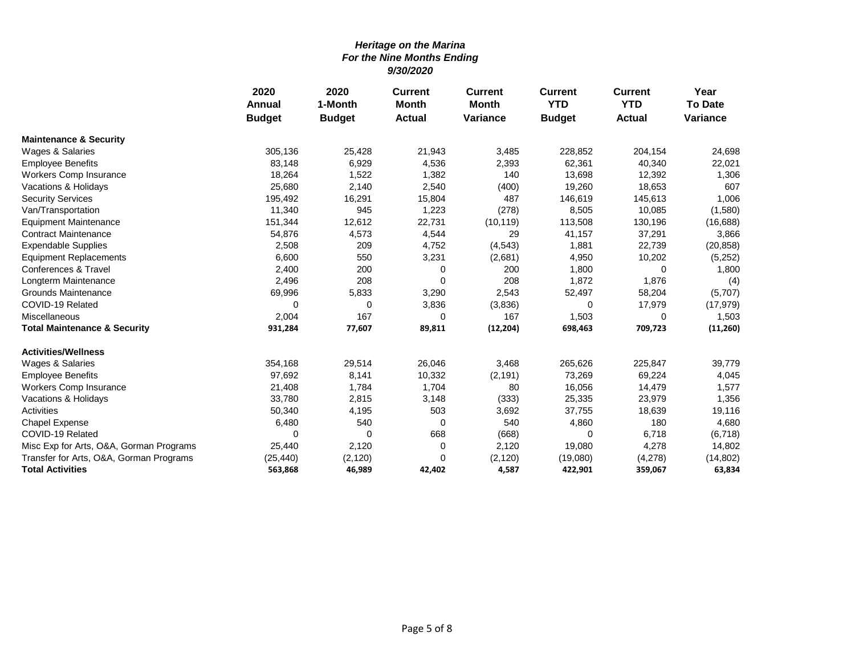|                                         | 2020          | 2020          | <b>Current</b><br><b>Current</b> |                 | <b>Current</b> | <b>Current</b> | Year            |
|-----------------------------------------|---------------|---------------|----------------------------------|-----------------|----------------|----------------|-----------------|
|                                         | <b>Annual</b> | 1-Month       | <b>Month</b>                     | <b>Month</b>    | <b>YTD</b>     | <b>YTD</b>     | <b>To Date</b>  |
|                                         | <b>Budget</b> | <b>Budget</b> | <b>Actual</b>                    | <b>Variance</b> | <b>Budget</b>  | <b>Actual</b>  | <b>Variance</b> |
| <b>Maintenance &amp; Security</b>       |               |               |                                  |                 |                |                |                 |
| Wages & Salaries                        | 305,136       | 25,428        | 21,943                           | 3,485           | 228,852        | 204,154        | 24,698          |
| <b>Employee Benefits</b>                | 83,148        | 6,929         | 4,536                            | 2,393           | 62,361         | 40,340         | 22,021          |
| Workers Comp Insurance                  | 18,264        | 1,522         | 1,382                            | 140             | 13,698         | 12,392         | 1,306           |
| Vacations & Holidays                    | 25,680        | 2,140         | 2,540                            | (400)           | 19,260         | 18,653         | 607             |
| <b>Security Services</b>                | 195,492       | 16,291        | 15,804                           | 487             | 146,619        | 145,613        | 1,006           |
| Van/Transportation                      | 11,340        | 945           | 1,223                            | (278)           | 8,505          | 10,085         | (1,580)         |
| <b>Equipment Maintenance</b>            | 151,344       | 12,612        | 22,731                           | (10, 119)       | 113,508        | 130,196        | (16, 688)       |
| <b>Contract Maintenance</b>             | 54,876        | 4,573         | 4,544                            | 29              | 41,157         | 37,291         | 3,866           |
| <b>Expendable Supplies</b>              | 2,508         | 209           | 4,752                            | (4, 543)        | 1,881          | 22,739         | (20, 858)       |
| <b>Equipment Replacements</b>           | 6,600         | 550           | 3,231                            | (2,681)         | 4,950          | 10,202         | (5,252)         |
| Conferences & Travel                    | 2,400         | 200           | 0                                | 200             | 1,800          | $\Omega$       | 1,800           |
| Longterm Maintenance                    | 2,496         | 208           | $\Omega$                         | 208             | 1,872          | 1,876          | (4)             |
| <b>Grounds Maintenance</b>              | 69,996        | 5,833         | 3,290                            | 2,543           | 52,497         | 58,204         | (5,707)         |
| COVID-19 Related                        | 0             | 0             | 3,836                            | (3,836)         | 0              | 17,979         | (17, 979)       |
| Miscellaneous                           | 2,004         | 167           | 0                                | 167             | 1,503          | 0              | 1,503           |
| <b>Total Maintenance &amp; Security</b> | 931,284       | 77,607        | 89,811                           | (12, 204)       | 698,463        | 709,723        | (11,260)        |
| <b>Activities/Wellness</b>              |               |               |                                  |                 |                |                |                 |
| Wages & Salaries                        | 354,168       | 29,514        | 26,046                           | 3,468           | 265,626        | 225,847        | 39,779          |
| <b>Employee Benefits</b>                | 97,692        | 8,141         | 10,332                           | (2, 191)        | 73,269         | 69,224         | 4,045           |
| Workers Comp Insurance                  | 21,408        | 1,784         | 1,704                            | 80              | 16,056         | 14,479         | 1,577           |
| Vacations & Holidays                    | 33,780        | 2,815         | 3,148                            | (333)           | 25,335         | 23,979         | 1,356           |
| Activities                              | 50,340        | 4,195         | 503                              | 3,692           | 37,755         | 18,639         | 19,116          |
| Chapel Expense                          | 6,480         | 540           | 0                                | 540             | 4,860          | 180            | 4,680           |
| COVID-19 Related                        | $\Omega$      | $\Omega$      | 668                              | (668)           | 0              | 6,718          | (6, 718)        |
| Misc Exp for Arts, O&A, Gorman Programs | 25,440        | 2,120         | 0                                | 2,120           | 19,080         | 4,278          | 14,802          |
| Transfer for Arts, O&A, Gorman Programs | (25, 440)     | (2, 120)      | $\Omega$                         | (2, 120)        | (19,080)       | (4,278)        | (14, 802)       |
| <b>Total Activities</b>                 | 563,868       | 46,989        | 42,402                           | 4,587           | 422,901        | 359,067        | 63,834          |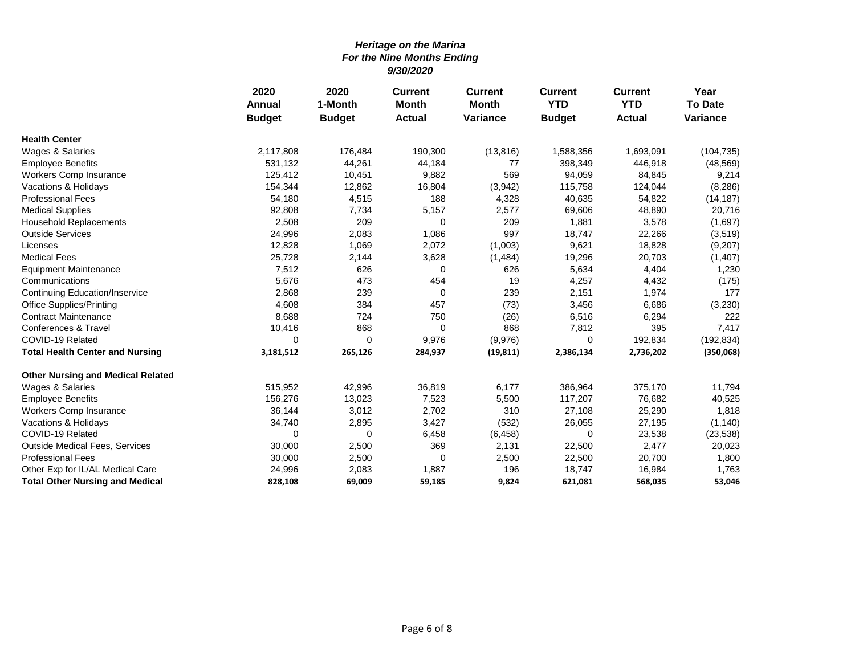|                                          | 2020          | 2020          | <b>Current</b><br><b>Current</b> | <b>Current</b>  | <b>Current</b> | Year          |                 |
|------------------------------------------|---------------|---------------|----------------------------------|-----------------|----------------|---------------|-----------------|
|                                          | Annual        | 1-Month       | <b>Month</b>                     | <b>Month</b>    | <b>YTD</b>     | <b>YTD</b>    | <b>To Date</b>  |
|                                          | <b>Budget</b> | <b>Budget</b> | <b>Actual</b>                    | <b>Variance</b> | <b>Budget</b>  | <b>Actual</b> | <b>Variance</b> |
| <b>Health Center</b>                     |               |               |                                  |                 |                |               |                 |
| Wages & Salaries                         | 2,117,808     | 176,484       | 190,300                          | (13, 816)       | 1,588,356      | 1,693,091     | (104, 735)      |
| <b>Employee Benefits</b>                 | 531,132       | 44,261        | 44,184                           | 77              | 398,349        | 446,918       | (48, 569)       |
| Workers Comp Insurance                   | 125,412       | 10,451        | 9,882                            | 569             | 94,059         | 84,845        | 9,214           |
| Vacations & Holidays                     | 154,344       | 12,862        | 16,804                           | (3,942)         | 115,758        | 124,044       | (8, 286)        |
| <b>Professional Fees</b>                 | 54,180        | 4,515         | 188                              | 4,328           | 40,635         | 54,822        | (14, 187)       |
| <b>Medical Supplies</b>                  | 92,808        | 7,734         | 5,157                            | 2,577           | 69,606         | 48,890        | 20,716          |
| <b>Household Replacements</b>            | 2,508         | 209           | 0                                | 209             | 1,881          | 3,578         | (1,697)         |
| <b>Outside Services</b>                  | 24,996        | 2,083         | 1,086                            | 997             | 18,747         | 22,266        | (3,519)         |
| Licenses                                 | 12,828        | 1,069         | 2,072                            | (1,003)         | 9,621          | 18,828        | (9,207)         |
| <b>Medical Fees</b>                      | 25,728        | 2,144         | 3,628                            | (1, 484)        | 19,296         | 20,703        | (1, 407)        |
| <b>Equipment Maintenance</b>             | 7,512         | 626           | 0                                | 626             | 5,634          | 4,404         | 1,230           |
| Communications                           | 5,676         | 473           | 454                              | 19              | 4,257          | 4,432         | (175)           |
| <b>Continuing Education/Inservice</b>    | 2,868         | 239           | 0                                | 239             | 2,151          | 1,974         | 177             |
| <b>Office Supplies/Printing</b>          | 4,608         | 384           | 457                              | (73)            | 3,456          | 6,686         | (3,230)         |
| <b>Contract Maintenance</b>              | 8,688         | 724           | 750                              | (26)            | 6,516          | 6,294         | 222             |
| Conferences & Travel                     | 10,416        | 868           | 0                                | 868             | 7,812          | 395           | 7,417           |
| COVID-19 Related                         | $\Omega$      | $\Omega$      | 9,976                            | (9,976)         | 0              | 192,834       | (192, 834)      |
| <b>Total Health Center and Nursing</b>   | 3,181,512     | 265,126       | 284,937                          | (19, 811)       | 2,386,134      | 2,736,202     | (350,068)       |
| <b>Other Nursing and Medical Related</b> |               |               |                                  |                 |                |               |                 |
| Wages & Salaries                         | 515,952       | 42,996        | 36,819                           | 6,177           | 386,964        | 375,170       | 11,794          |
| <b>Employee Benefits</b>                 | 156,276       | 13,023        | 7,523                            | 5,500           | 117,207        | 76,682        | 40,525          |
| Workers Comp Insurance                   | 36,144        | 3,012         | 2,702                            | 310             | 27,108         | 25,290        | 1,818           |
| Vacations & Holidays                     | 34,740        | 2,895         | 3,427                            | (532)           | 26,055         | 27,195        | (1, 140)        |
| COVID-19 Related                         | $\Omega$      | 0             | 6,458                            | (6, 458)        | 0              | 23,538        | (23, 538)       |
| Outside Medical Fees, Services           | 30,000        | 2,500         | 369                              | 2,131           | 22,500         | 2,477         | 20,023          |
| <b>Professional Fees</b>                 | 30,000        | 2,500         | 0                                | 2,500           | 22,500         | 20,700        | 1,800           |
| Other Exp for IL/AL Medical Care         | 24,996        | 2,083         | 1,887                            | 196             | 18,747         | 16,984        | 1,763           |
| <b>Total Other Nursing and Medical</b>   | 828,108       | 69,009        | 59,185                           | 9,824           | 621,081        | 568,035       | 53,046          |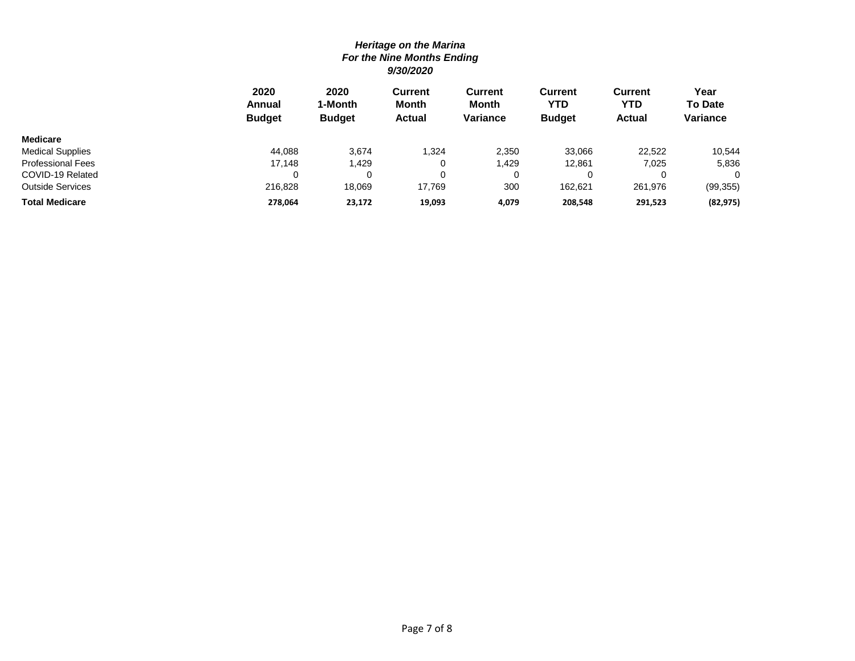|                          | 2020<br>Annual<br><b>Budget</b> | 2020<br>1-Month<br><b>Budget</b> | <b>Current</b><br><b>Month</b><br><b>Actual</b> | Current<br>Month<br><b>Variance</b> | Current<br>YTD<br><b>Budget</b> | <b>Current</b><br>YTD<br><b>Actual</b> | Year<br><b>To Date</b><br>Variance |
|--------------------------|---------------------------------|----------------------------------|-------------------------------------------------|-------------------------------------|---------------------------------|----------------------------------------|------------------------------------|
| <b>Medicare</b>          |                                 |                                  |                                                 |                                     |                                 |                                        |                                    |
| <b>Medical Supplies</b>  | 44.088                          | 3,674                            | 1,324                                           | 2,350                               | 33.066                          | 22.522                                 | 10,544                             |
| <b>Professional Fees</b> | 17,148                          | ,429                             |                                                 | 1,429                               | 12.861                          | 7,025                                  | 5,836                              |
| COVID-19 Related         |                                 |                                  |                                                 | 0                                   |                                 |                                        | 0                                  |
| Outside Services         | 216,828                         | 18,069                           | 17.769                                          | 300                                 | 162.621                         | 261,976                                | (99, 355)                          |
| Total Medicare           | 278.064                         | 23,172                           | 19,093                                          | 4.079                               | 208.548                         | 291,523                                | (82, 975)                          |